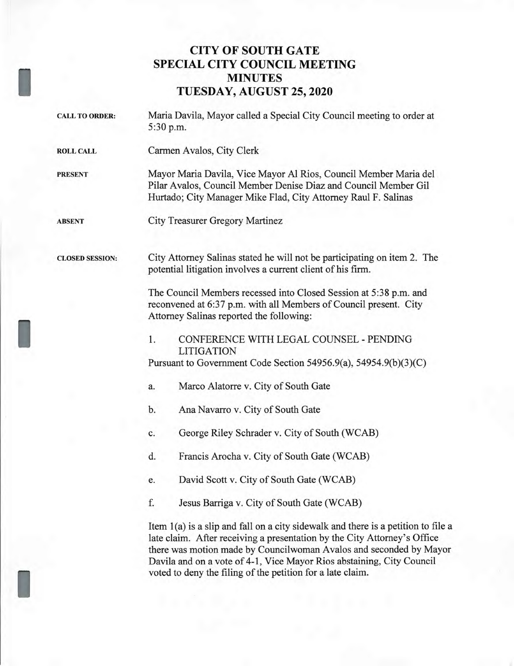## **CITY OF SOUTH GATE SPECIAL CITY COUNCIL MEETING MINUTES TUESDAY, AUGUST 25, 2020**

**I** 

I

I

CALL TO ORDER: Maria Davila, Mayor called a Special City Council meeting to order at 5:30 p.m. ROLL CALL Carmen Avalos, City Clerk PRESENT Mayor Maria Davila, Vice Mayor Al Rios, Council Member Maria del Pilar Avalos, Council Member Denise Diaz and Council Member Gil Hurtado; City Manager Mike Flad, City Attorney Raul F. Salinas ABSENT City Treasurer Gregory Martinez CLOSED SESSION: City Attorney Salinas stated he will not be participating on item 2. The potential litigation involves a current client of his firm. The Council Members recessed into Closed Session at 5:38 p.m. and reconvened at 6:37 p.m. with all Members of Council present. City Attorney Salinas reported the following: 1. CONFERENCE WITH LEGAL COUNSEL - PENDING LITIGATION Pursuant to Government Code Section 54956.9(a), 54954.9(b)(3)(C) a. Marco Alatorre v. City of South Gate b. Ana Navarro v. City of South Gate c. George Riley Schrader v. City of South (WCAB) d. Francis Arocha v. City of South Gate (WCAB) e. David Scott v. City of South Gate (WCAB) f. Jesus Barriga v. City of South Gate (WCAB) Item 1(a) is a slip and fall on a city sidewalk and there is a petition to file a late claim. After receiving a presentation by the City Attorney's Office there was motion made by Councilwoman Avalos and seconded by Mayor Davila and on a vote of 4-1, Vice Mayor Rios abstaining, City Council voted to deny the filing of the petition for a late claim.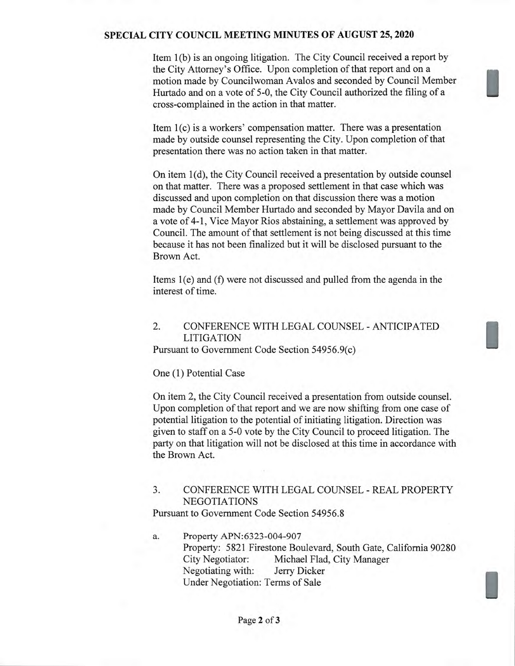#### SPECIAL CITY COUNCIL MEETING MINUTES OF AUGUST 25, 2020

Item 1(b) is an ongoing litigation. The City Council received a report by the City Attorney's Office. Upon completion of that report and on a motion made by Councilwoman Avalos and seconded by Council Member Hurtado and on a vote of 5-0, the City Council authorized the filing of a cross-complained in the action in that matter.

Item 1(c) is a workers' compensation matter. There was a presentation made by outside counsel representing the City. Upon completion of that presentation there was no action taken in that matter.

On item 1(d), the City Council received a presentation by outside counsel on that matter. There was a proposed settlement in that case which was discussed and upon completion on that discussion there was a motion made by Council Member Hurtado and seconded by Mayor Davila and on a vote of 4-1, Vice Mayor Rios abstaining, a settlement was approved by Council. The amount of that settlement is not being discussed at this time because it has not been finalized but it will be disclosed pursuant to the Brown Act.

Items 1(e) and (f) were not discussed and pulled from the agenda in the interest of time.

# 2. CONFERENCE WITH LEGAL COUNSEL - ANTICIPATED LITIGATION

Pursuant to Government Code Section 54956.9(c)

One (1) Potential Case

On item 2, the City Council received a presentation from outside counsel. Upon completion of that report and we are now shifting from one case of potential litigation to the potential of initiating litigation. Direction was given to staff on a 5-0 vote by the City Council to proceed litigation. The party on that litigation will not be disclosed at this time in accordance with the Brown Act.

### 3. CONFERENCE WITH LEGAL COUNSEL - REAL PROPERTY NEGOTIATIONS

Pursuant to Government Code Section 54956.8

a. Property APN:6323-004-907 Property: 5821 Firestone Boulevard, South Gate, California 90280 City Negotiator: Michael Flad, City Manager Negotiating with: Jerry Dicker Under Negotiation: Terms of Sale